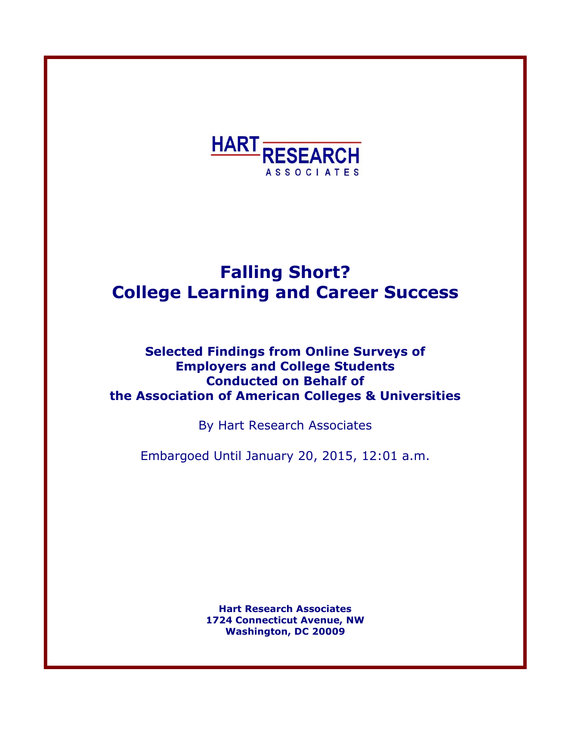

# **Falling Short? College Learning and Career Success**

# **Selected Findings from Online Surveys of Employers and College Students Conducted on Behalf of the Association of American Colleges & Universities**

By Hart Research Associates

Embargoed Until January 20, 2015, 12:01 a.m.

**Hart Research Associates 1724 Connecticut Avenue, NW Washington, DC 20009**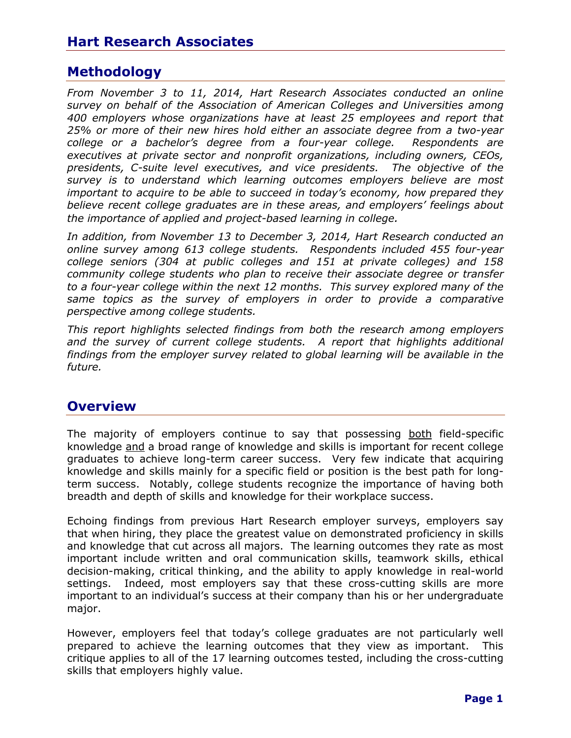# **Methodology**

*From November 3 to 11, 2014, Hart Research Associates conducted an online survey on behalf of the Association of American Colleges and Universities among 400 employers whose organizations have at least 25 employees and report that 25% or more of their new hires hold either an associate degree from a two-year college or a bachelor's degree from a four-year college. Respondents are executives at private sector and nonprofit organizations, including owners, CEOs, presidents, C-suite level executives, and vice presidents. The objective of the survey is to understand which learning outcomes employers believe are most important to acquire to be able to succeed in today's economy, how prepared they believe recent college graduates are in these areas, and employers' feelings about the importance of applied and project-based learning in college.*

*In addition, from November 13 to December 3, 2014, Hart Research conducted an online survey among 613 college students. Respondents included 455 four-year college seniors (304 at public colleges and 151 at private colleges) and 158 community college students who plan to receive their associate degree or transfer to a four-year college within the next 12 months. This survey explored many of the same topics as the survey of employers in order to provide a comparative perspective among college students.* 

*This report highlights selected findings from both the research among employers*  and the survey of current college students. A report that highlights additional *findings from the employer survey related to global learning will be available in the future.*

### **Overview**

The majority of employers continue to say that possessing both field-specific knowledge and a broad range of knowledge and skills is important for recent college graduates to achieve long-term career success. Very few indicate that acquiring knowledge and skills mainly for a specific field or position is the best path for longterm success. Notably, college students recognize the importance of having both breadth and depth of skills and knowledge for their workplace success.

Echoing findings from previous Hart Research employer surveys, employers say that when hiring, they place the greatest value on demonstrated proficiency in skills and knowledge that cut across all majors. The learning outcomes they rate as most important include written and oral communication skills, teamwork skills, ethical decision-making, critical thinking, and the ability to apply knowledge in real-world settings. Indeed, most employers say that these cross-cutting skills are more important to an individual's success at their company than his or her undergraduate major.

However, employers feel that today's college graduates are not particularly well prepared to achieve the learning outcomes that they view as important. This critique applies to all of the 17 learning outcomes tested, including the cross-cutting skills that employers highly value.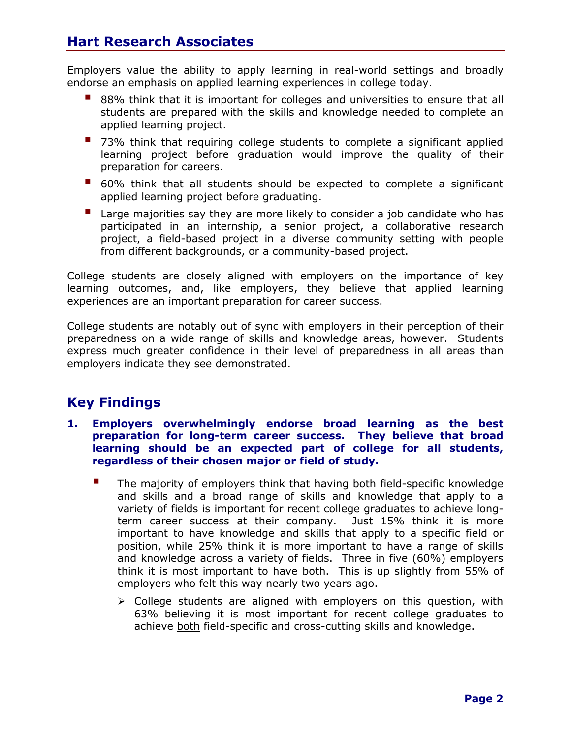Employers value the ability to apply learning in real-world settings and broadly endorse an emphasis on applied learning experiences in college today.

- 88% think that it is important for colleges and universities to ensure that all students are prepared with the skills and knowledge needed to complete an applied learning project.
- 73% think that requiring college students to complete a significant applied learning project before graduation would improve the quality of their preparation for careers.
- 60% think that all students should be expected to complete a significant applied learning project before graduating.
- Large majorities say they are more likely to consider a job candidate who has participated in an internship, a senior project, a collaborative research project, a field-based project in a diverse community setting with people from different backgrounds, or a community-based project.

College students are closely aligned with employers on the importance of key learning outcomes, and, like employers, they believe that applied learning experiences are an important preparation for career success.

College students are notably out of sync with employers in their perception of their preparedness on a wide range of skills and knowledge areas, however. Students express much greater confidence in their level of preparedness in all areas than employers indicate they see demonstrated.

# **Key Findings**

- **1. Employers overwhelmingly endorse broad learning as the best preparation for long-term career success. They believe that broad learning should be an expected part of college for all students, regardless of their chosen major or field of study.**
	- $\blacksquare$  The majority of employers think that having both field-specific knowledge and skills and a broad range of skills and knowledge that apply to a variety of fields is important for recent college graduates to achieve longterm career success at their company. Just 15% think it is more important to have knowledge and skills that apply to a specific field or position, while 25% think it is more important to have a range of skills and knowledge across a variety of fields. Three in five (60%) employers think it is most important to have both. This is up slightly from 55% of employers who felt this way nearly two years ago.
		- $\triangleright$  College students are aligned with employers on this question, with 63% believing it is most important for recent college graduates to achieve both field-specific and cross-cutting skills and knowledge.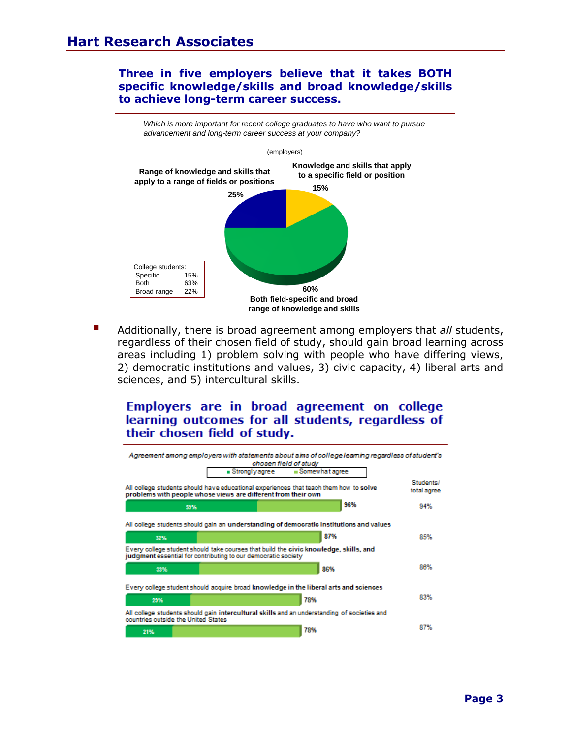#### **Three in five employers believe that it takes BOTH specific knowledge/skills and broad knowledge/skills to achieve long-term career success.**



 Additionally, there is broad agreement among employers that *all* students, regardless of their chosen field of study, should gain broad learning across areas including 1) problem solving with people who have differing views, 2) democratic institutions and values, 3) civic capacity, 4) liberal arts and sciences, and 5) intercultural skills.

Employers are in broad agreement on college learning outcomes for all students, regardless of their chosen field of study.

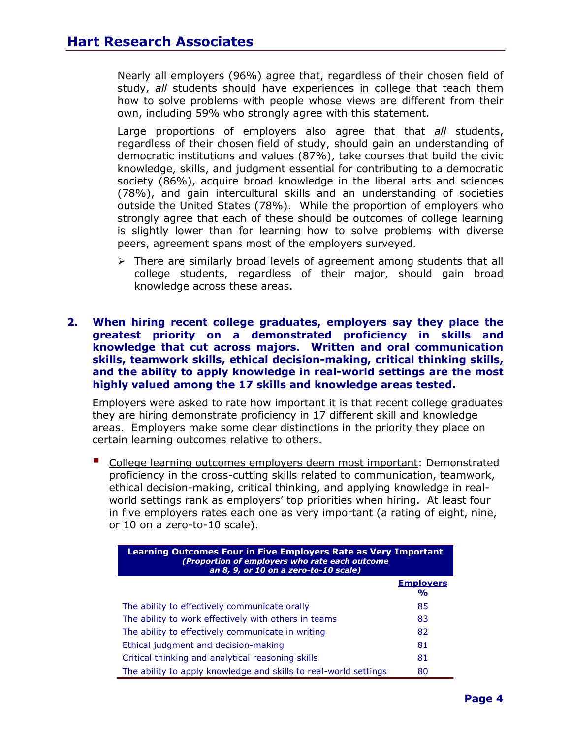Nearly all employers (96%) agree that, regardless of their chosen field of study, *all* students should have experiences in college that teach them how to solve problems with people whose views are different from their own, including 59% who strongly agree with this statement.

Large proportions of employers also agree that that *all* students, regardless of their chosen field of study, should gain an understanding of democratic institutions and values (87%), take courses that build the civic knowledge, skills, and judgment essential for contributing to a democratic society (86%), acquire broad knowledge in the liberal arts and sciences (78%), and gain intercultural skills and an understanding of societies outside the United States (78%). While the proportion of employers who strongly agree that each of these should be outcomes of college learning is slightly lower than for learning how to solve problems with diverse peers, agreement spans most of the employers surveyed.

- $\triangleright$  There are similarly broad levels of agreement among students that all college students, regardless of their major, should gain broad knowledge across these areas.
- **2. When hiring recent college graduates, employers say they place the greatest priority on a demonstrated proficiency in skills and knowledge that cut across majors. Written and oral communication skills, teamwork skills, ethical decision-making, critical thinking skills, and the ability to apply knowledge in real-world settings are the most highly valued among the 17 skills and knowledge areas tested.**

Employers were asked to rate how important it is that recent college graduates they are hiring demonstrate proficiency in 17 different skill and knowledge areas. Employers make some clear distinctions in the priority they place on certain learning outcomes relative to others.

College learning outcomes employers deem most important: Demonstrated proficiency in the cross-cutting skills related to communication, teamwork, ethical decision-making, critical thinking, and applying knowledge in realworld settings rank as employers' top priorities when hiring. At least four in five employers rates each one as very important (a rating of eight, nine, or 10 on a zero-to-10 scale).

| Learning Outcomes Four in Five Employers Rate as Very Important<br>(Proportion of employers who rate each outcome<br>an 8, 9, or 10 on a zero-to-10 scale) |                                   |  |
|------------------------------------------------------------------------------------------------------------------------------------------------------------|-----------------------------------|--|
|                                                                                                                                                            | <b>Employers</b><br>$\frac{1}{2}$ |  |
| The ability to effectively communicate orally                                                                                                              | 85                                |  |
| The ability to work effectively with others in teams                                                                                                       | 83                                |  |
| The ability to effectively communicate in writing                                                                                                          | 82                                |  |
| Ethical judgment and decision-making                                                                                                                       | 81                                |  |
| Critical thinking and analytical reasoning skills                                                                                                          | 81                                |  |
| The ability to apply knowledge and skills to real-world settings                                                                                           | 80                                |  |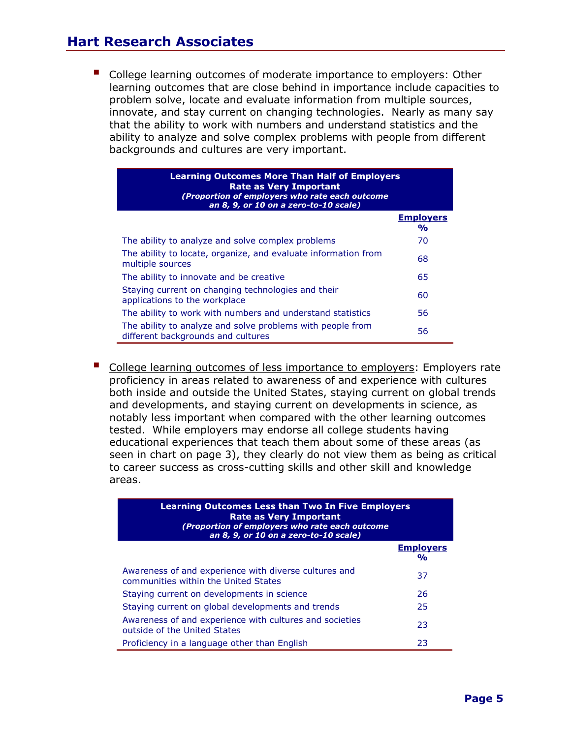# **Hart Research Associates**

 College learning outcomes of moderate importance to employers: Other learning outcomes that are close behind in importance include capacities to problem solve, locate and evaluate information from multiple sources, innovate, and stay current on changing technologies. Nearly as many say that the ability to work with numbers and understand statistics and the ability to analyze and solve complex problems with people from different backgrounds and cultures are very important.

| <b>Learning Outcomes More Than Half of Employers</b><br><b>Rate as Very Important</b><br>(Proportion of employers who rate each outcome<br>an 8, 9, or 10 on a zero-to-10 scale) |                                        |
|----------------------------------------------------------------------------------------------------------------------------------------------------------------------------------|----------------------------------------|
|                                                                                                                                                                                  | <b>Employers</b><br>$\frac{0}{\alpha}$ |
| The ability to analyze and solve complex problems                                                                                                                                | 70                                     |
| The ability to locate, organize, and evaluate information from<br>multiple sources                                                                                               | 68                                     |
| The ability to innovate and be creative                                                                                                                                          | 65                                     |
| Staying current on changing technologies and their<br>applications to the workplace                                                                                              | 60                                     |
| The ability to work with numbers and understand statistics                                                                                                                       | 56                                     |
| The ability to analyze and solve problems with people from<br>different backgrounds and cultures                                                                                 | 56                                     |

College learning outcomes of less importance to employers: Employers rate proficiency in areas related to awareness of and experience with cultures both inside and outside the United States, staying current on global trends and developments, and staying current on developments in science, as notably less important when compared with the other learning outcomes tested. While employers may endorse all college students having educational experiences that teach them about some of these areas (as seen in chart on page 3), they clearly do not view them as being as critical to career success as cross-cutting skills and other skill and knowledge areas.

| <b>Learning Outcomes Less than Two In Five Employers</b><br><b>Rate as Very Important</b><br>(Proportion of employers who rate each outcome<br>an 8, 9, or 10 on a zero-to-10 scale) |                                   |
|--------------------------------------------------------------------------------------------------------------------------------------------------------------------------------------|-----------------------------------|
|                                                                                                                                                                                      | <b>Employers</b><br>$\frac{1}{2}$ |
| Awareness of and experience with diverse cultures and<br>communities within the United States                                                                                        | 37                                |
| Staying current on developments in science                                                                                                                                           | 26                                |
| Staying current on global developments and trends                                                                                                                                    | 25                                |
| Awareness of and experience with cultures and societies<br>outside of the United States                                                                                              | 23                                |
| Proficiency in a language other than English                                                                                                                                         | 23                                |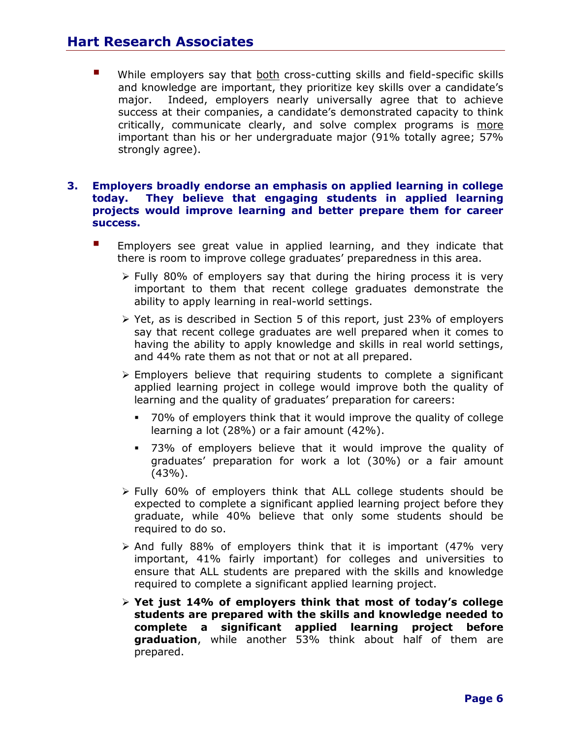While employers say that both cross-cutting skills and field-specific skills and knowledge are important, they prioritize key skills over a candidate's major. Indeed, employers nearly universally agree that to achieve success at their companies, a candidate's demonstrated capacity to think critically, communicate clearly, and solve complex programs is more important than his or her undergraduate major (91% totally agree; 57% strongly agree).

#### **3. Employers broadly endorse an emphasis on applied learning in college today. They believe that engaging students in applied learning projects would improve learning and better prepare them for career success.**

- **Employers see great value in applied learning, and they indicate that** there is room to improve college graduates' preparedness in this area.
	- $\triangleright$  Fully 80% of employers say that during the hiring process it is very important to them that recent college graduates demonstrate the ability to apply learning in real-world settings.
	- $\triangleright$  Yet, as is described in Section 5 of this report, just 23% of employers say that recent college graduates are well prepared when it comes to having the ability to apply knowledge and skills in real world settings, and 44% rate them as not that or not at all prepared.
	- $\triangleright$  Employers believe that requiring students to complete a significant applied learning project in college would improve both the quality of learning and the quality of graduates' preparation for careers:
		- 70% of employers think that it would improve the quality of college learning a lot (28%) or a fair amount (42%).
		- 73% of employers believe that it would improve the quality of graduates' preparation for work a lot (30%) or a fair amount  $(43%).$
	- $\triangleright$  Fully 60% of employers think that ALL college students should be expected to complete a significant applied learning project before they graduate, while 40% believe that only some students should be required to do so.
	- $\triangleright$  And fully 88% of employers think that it is important (47% very important, 41% fairly important) for colleges and universities to ensure that ALL students are prepared with the skills and knowledge required to complete a significant applied learning project.
	- **Yet just 14% of employers think that most of today's college students are prepared with the skills and knowledge needed to complete a significant applied learning project before graduation**, while another 53% think about half of them are prepared.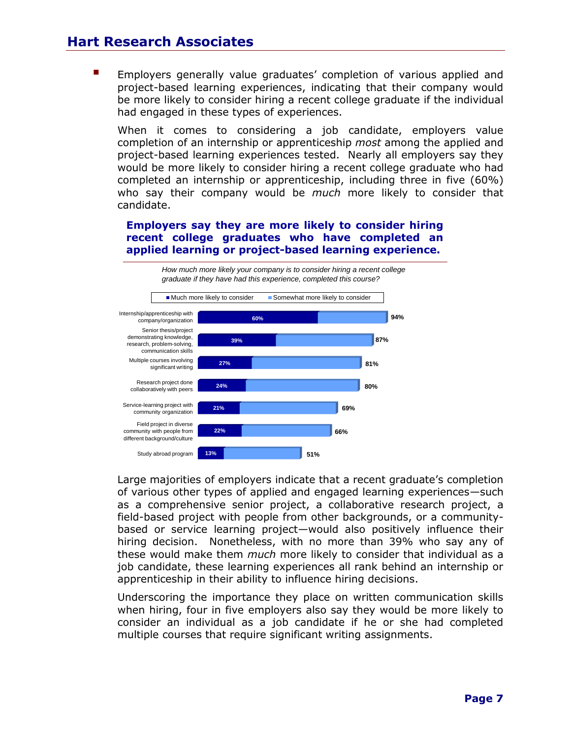Employers generally value graduates' completion of various applied and project-based learning experiences, indicating that their company would be more likely to consider hiring a recent college graduate if the individual had engaged in these types of experiences.

When it comes to considering a job candidate, employers value completion of an internship or apprenticeship *most* among the applied and project-based learning experiences tested. Nearly all employers say they would be more likely to consider hiring a recent college graduate who had completed an internship or apprenticeship, including three in five (60%) who say their company would be *much* more likely to consider that candidate.

#### **Employers say they are more likely to consider hiring recent college graduates who have completed an applied learning or project-based learning experience.**



Large majorities of employers indicate that a recent graduate's completion of various other types of applied and engaged learning experiences—such as a comprehensive senior project, a collaborative research project, a field-based project with people from other backgrounds, or a communitybased or service learning project—would also positively influence their hiring decision. Nonetheless, with no more than 39% who say any of these would make them *much* more likely to consider that individual as a job candidate, these learning experiences all rank behind an internship or apprenticeship in their ability to influence hiring decisions.

Underscoring the importance they place on written communication skills when hiring, four in five employers also say they would be more likely to consider an individual as a job candidate if he or she had completed multiple courses that require significant writing assignments.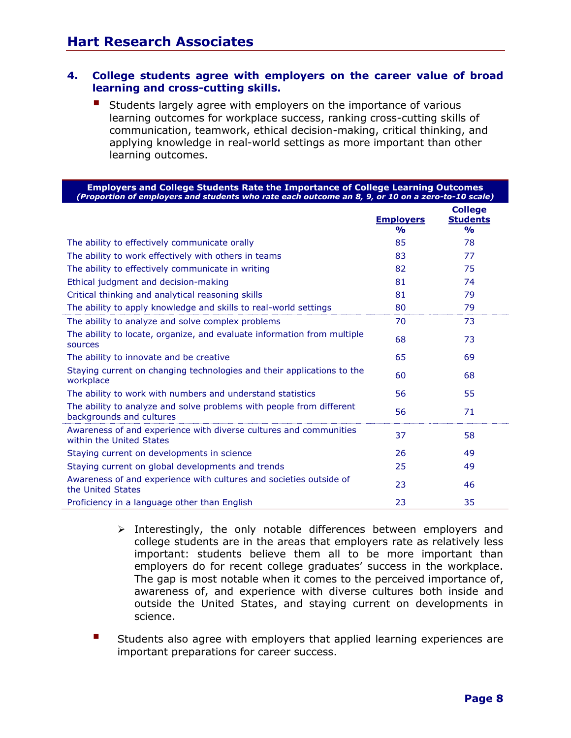#### **4. College students agree with employers on the career value of broad learning and cross-cutting skills.**

Students largely agree with employers on the importance of various learning outcomes for workplace success, ranking cross-cutting skills of communication, teamwork, ethical decision-making, critical thinking, and applying knowledge in real-world settings as more important than other learning outcomes.

| <b>Employers and College Students Rate the Importance of College Learning Outcomes</b><br>(Proportion of employers and students who rate each outcome an 8, 9, or 10 on a zero-to-10 scale) |                                        |                                                         |  |
|---------------------------------------------------------------------------------------------------------------------------------------------------------------------------------------------|----------------------------------------|---------------------------------------------------------|--|
|                                                                                                                                                                                             | <b>Employers</b><br>$\frac{O}{\Omega}$ | <b>College</b><br><b>Students</b><br>$\frac{0}{\alpha}$ |  |
| The ability to effectively communicate orally                                                                                                                                               | 85                                     | 78                                                      |  |
| The ability to work effectively with others in teams                                                                                                                                        | 83                                     | 77                                                      |  |
| The ability to effectively communicate in writing                                                                                                                                           | 82                                     | 75                                                      |  |
| Ethical judgment and decision-making                                                                                                                                                        | 81                                     | 74                                                      |  |
| Critical thinking and analytical reasoning skills                                                                                                                                           | 81                                     | 79                                                      |  |
| The ability to apply knowledge and skills to real-world settings                                                                                                                            | 80                                     | 79                                                      |  |
| The ability to analyze and solve complex problems                                                                                                                                           | 70                                     | 73                                                      |  |
| The ability to locate, organize, and evaluate information from multiple<br>sources                                                                                                          | 68                                     | 73                                                      |  |
| The ability to innovate and be creative                                                                                                                                                     | 65                                     | 69                                                      |  |
| Staying current on changing technologies and their applications to the<br>workplace                                                                                                         | 60                                     | 68                                                      |  |
| The ability to work with numbers and understand statistics                                                                                                                                  | 56                                     | 55                                                      |  |
| The ability to analyze and solve problems with people from different<br>backgrounds and cultures                                                                                            | 56                                     | 71                                                      |  |
| Awareness of and experience with diverse cultures and communities<br>within the United States                                                                                               | 37                                     | 58                                                      |  |
| Staying current on developments in science                                                                                                                                                  | 26                                     | 49                                                      |  |
| Staying current on global developments and trends                                                                                                                                           | 25                                     | 49                                                      |  |
| Awareness of and experience with cultures and societies outside of<br>the United States                                                                                                     | 23                                     | 46                                                      |  |
| Proficiency in a language other than English                                                                                                                                                | 23                                     | 35                                                      |  |

- $\triangleright$  Interestingly, the only notable differences between employers and college students are in the areas that employers rate as relatively less important: students believe them all to be more important than employers do for recent college graduates' success in the workplace. The gap is most notable when it comes to the perceived importance of, awareness of, and experience with diverse cultures both inside and outside the United States, and staying current on developments in science.
- Students also agree with employers that applied learning experiences are important preparations for career success.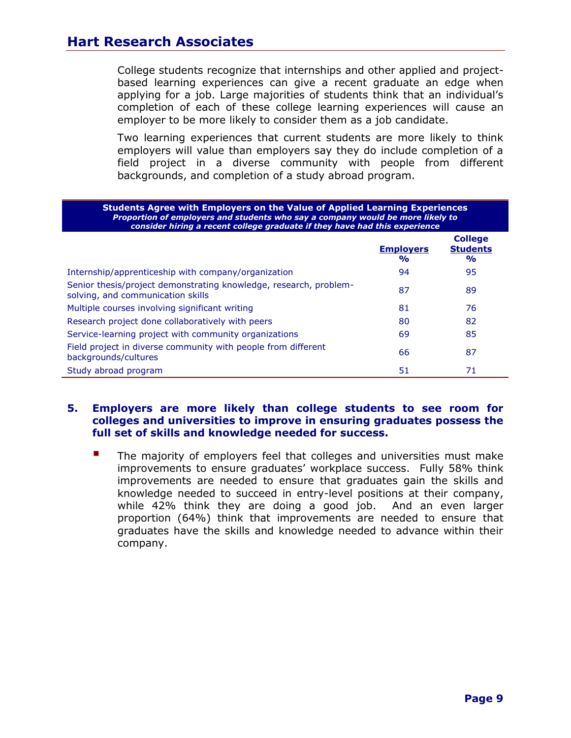College students recognize that internships and other applied and projectbased learning experiences can give a recent graduate an edge when applying for a job. Large majorities of students think that an individual's completion of each of these college learning experiences will cause an employer to be more likely to consider them as a job candidate.

Two learning experiences that current students are more likely to think employers will value than employers say they do include completion of a field project in a diverse community with people from different backgrounds, and completion of a study abroad program.

| <b>Students Agree with Employers on the Value of Applied Learning Experiences</b><br>Proportion of employers and students who say a company would be more likely to<br>consider hiring a recent college graduate if they have had this experience |                                   |                                                    |  |
|---------------------------------------------------------------------------------------------------------------------------------------------------------------------------------------------------------------------------------------------------|-----------------------------------|----------------------------------------------------|--|
|                                                                                                                                                                                                                                                   | <b>Employers</b><br>$\frac{1}{2}$ | <b>College</b><br><b>Students</b><br>$\frac{1}{2}$ |  |
| Internship/apprenticeship with company/organization                                                                                                                                                                                               | 94                                | 95                                                 |  |
| Senior thesis/project demonstrating knowledge, research, problem-<br>solving, and communication skills                                                                                                                                            | 87                                | 89                                                 |  |
| Multiple courses involving significant writing                                                                                                                                                                                                    | 81                                | 76                                                 |  |
| Research project done collaboratively with peers                                                                                                                                                                                                  | 80                                | 82                                                 |  |
| Service-learning project with community organizations                                                                                                                                                                                             | 69                                | 85                                                 |  |
| Field project in diverse community with people from different<br>backgrounds/cultures                                                                                                                                                             | 66                                | 87                                                 |  |
| Study abroad program                                                                                                                                                                                                                              | 51                                | 71                                                 |  |

#### **5. Employers are more likely than college students to see room for colleges and universities to improve in ensuring graduates possess the full set of skills and knowledge needed for success.**

 The majority of employers feel that colleges and universities must make improvements to ensure graduates' workplace success. Fully 58% think improvements are needed to ensure that graduates gain the skills and knowledge needed to succeed in entry-level positions at their company, while 42% think they are doing a good job. And an even larger proportion (64%) think that improvements are needed to ensure that graduates have the skills and knowledge needed to advance within their company.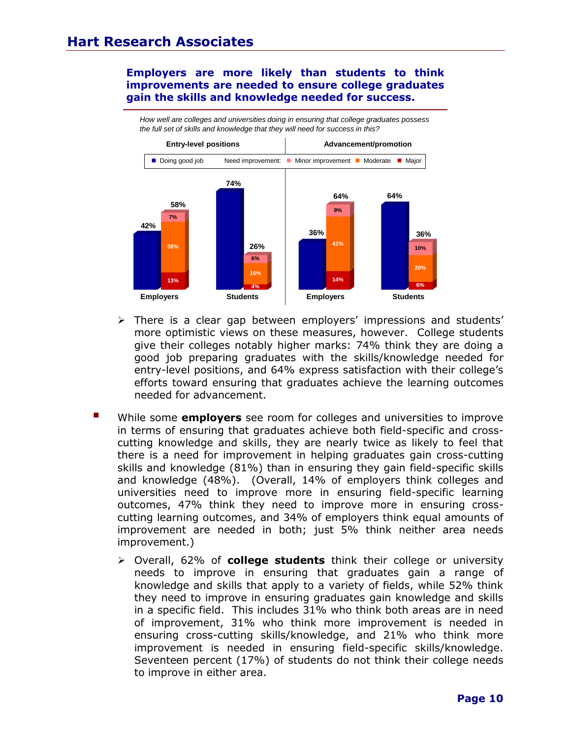#### **Employers are more likely than students to think improvements are needed to ensure college graduates gain the skills and knowledge needed for success.**



*How well are colleges and universities doing in ensuring that college graduates possess the full set of skills and knowledge that they will need for success in this?* 

- $\triangleright$  There is a clear gap between employers' impressions and students' more optimistic views on these measures, however. College students give their colleges notably higher marks: 74% think they are doing a good job preparing graduates with the skills/knowledge needed for entry-level positions, and 64% express satisfaction with their college's efforts toward ensuring that graduates achieve the learning outcomes needed for advancement.
- While some **employers** see room for colleges and universities to improve in terms of ensuring that graduates achieve both field-specific and crosscutting knowledge and skills, they are nearly twice as likely to feel that there is a need for improvement in helping graduates gain cross-cutting skills and knowledge (81%) than in ensuring they gain field-specific skills and knowledge (48%). (Overall, 14% of employers think colleges and universities need to improve more in ensuring field-specific learning outcomes, 47% think they need to improve more in ensuring crosscutting learning outcomes, and 34% of employers think equal amounts of improvement are needed in both; just 5% think neither area needs improvement.)
	- Overall, 62% of **college students** think their college or university needs to improve in ensuring that graduates gain a range of knowledge and skills that apply to a variety of fields, while 52% think they need to improve in ensuring graduates gain knowledge and skills in a specific field. This includes 31% who think both areas are in need of improvement, 31% who think more improvement is needed in ensuring cross-cutting skills/knowledge, and 21% who think more improvement is needed in ensuring field-specific skills/knowledge. Seventeen percent (17%) of students do not think their college needs to improve in either area.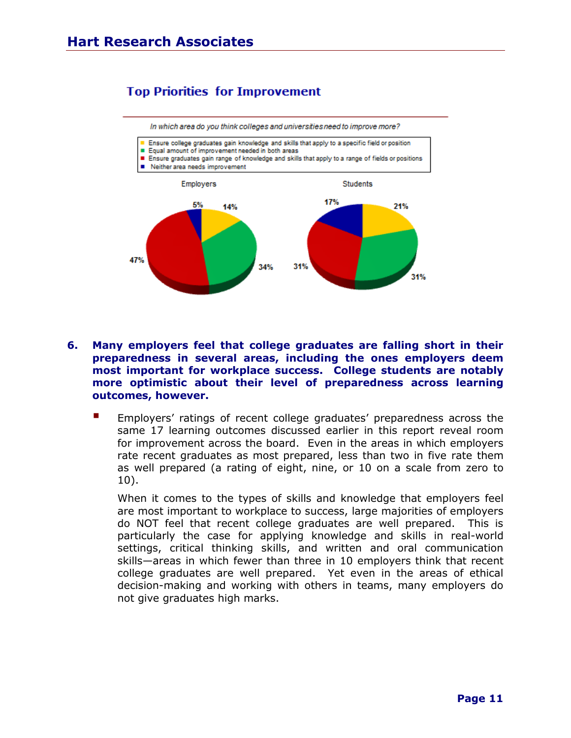# **Top Priorities for Improvement**



- **6. Many employers feel that college graduates are falling short in their preparedness in several areas, including the ones employers deem most important for workplace success. College students are notably more optimistic about their level of preparedness across learning outcomes, however.**
	- Employers' ratings of recent college graduates' preparedness across the same 17 learning outcomes discussed earlier in this report reveal room for improvement across the board. Even in the areas in which employers rate recent graduates as most prepared, less than two in five rate them as well prepared (a rating of eight, nine, or 10 on a scale from zero to 10).

When it comes to the types of skills and knowledge that employers feel are most important to workplace to success, large majorities of employers do NOT feel that recent college graduates are well prepared. This is particularly the case for applying knowledge and skills in real-world settings, critical thinking skills, and written and oral communication skills—areas in which fewer than three in 10 employers think that recent college graduates are well prepared. Yet even in the areas of ethical decision-making and working with others in teams, many employers do not give graduates high marks.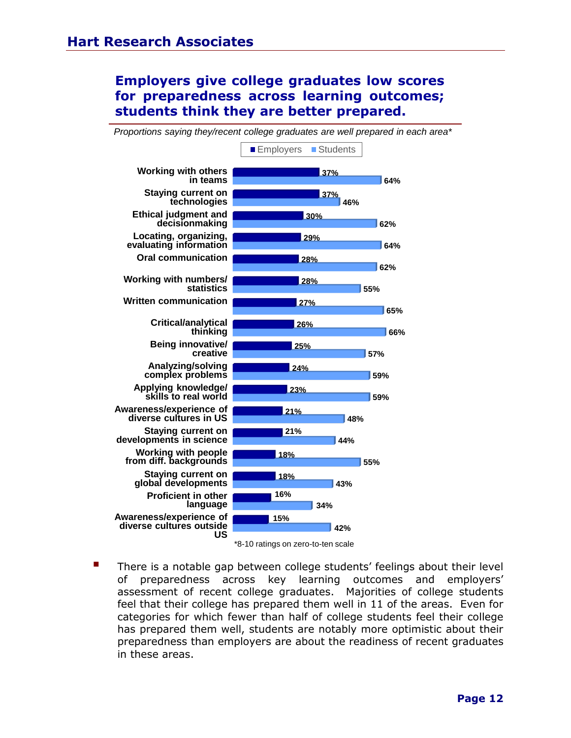# **Employers give college graduates low scores for preparedness across learning outcomes; students think they are better prepared.**



*Proportions saying they/recent college graduates are well prepared in each area\**

\*8-10 ratings on zero-to-ten scale

 There is a notable gap between college students' feelings about their level of preparedness across key learning outcomes and employers' assessment of recent college graduates. Majorities of college students feel that their college has prepared them well in 11 of the areas. Even for categories for which fewer than half of college students feel their college has prepared them well, students are notably more optimistic about their preparedness than employers are about the readiness of recent graduates in these areas.